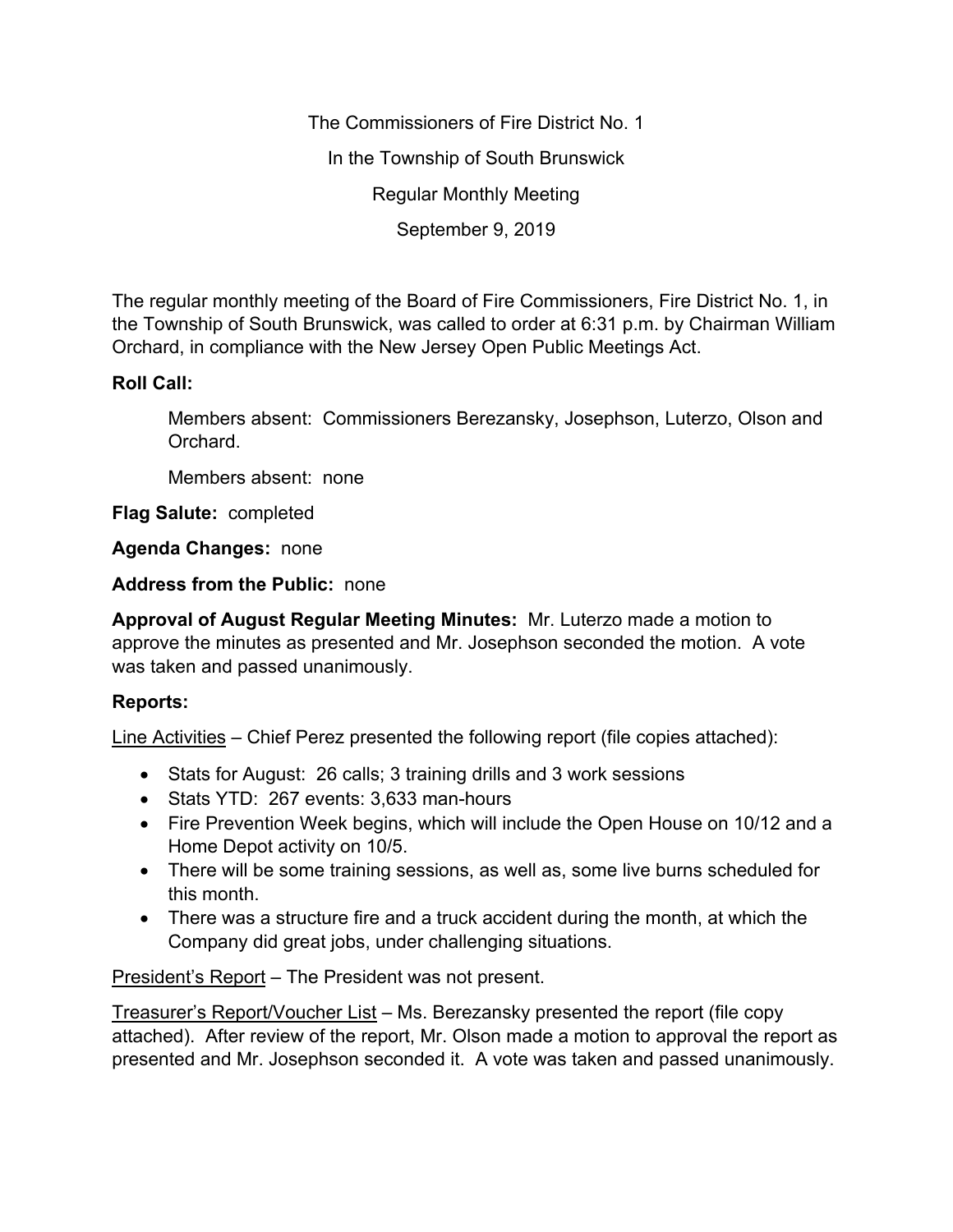The Commissioners of Fire District No. 1 In the Township of South Brunswick Regular Monthly Meeting September 9, 2019

The regular monthly meeting of the Board of Fire Commissioners, Fire District No. 1, in the Township of South Brunswick, was called to order at 6:31 p.m. by Chairman William Orchard, in compliance with the New Jersey Open Public Meetings Act.

## **Roll Call:**

Members absent: Commissioners Berezansky, Josephson, Luterzo, Olson and Orchard.

Members absent: none

**Flag Salute:** completed

**Agenda Changes:** none

**Address from the Public:** none

**Approval of August Regular Meeting Minutes:** Mr. Luterzo made a motion to approve the minutes as presented and Mr. Josephson seconded the motion. A vote was taken and passed unanimously.

## **Reports:**

Line Activities – Chief Perez presented the following report (file copies attached):

- Stats for August: 26 calls; 3 training drills and 3 work sessions
- Stats YTD: 267 events: 3,633 man-hours
- Fire Prevention Week begins, which will include the Open House on 10/12 and a Home Depot activity on 10/5.
- There will be some training sessions, as well as, some live burns scheduled for this month.
- There was a structure fire and a truck accident during the month, at which the Company did great jobs, under challenging situations.

President's Report – The President was not present.

Treasurer's Report/Voucher List – Ms. Berezansky presented the report (file copy attached). After review of the report, Mr. Olson made a motion to approval the report as presented and Mr. Josephson seconded it. A vote was taken and passed unanimously.